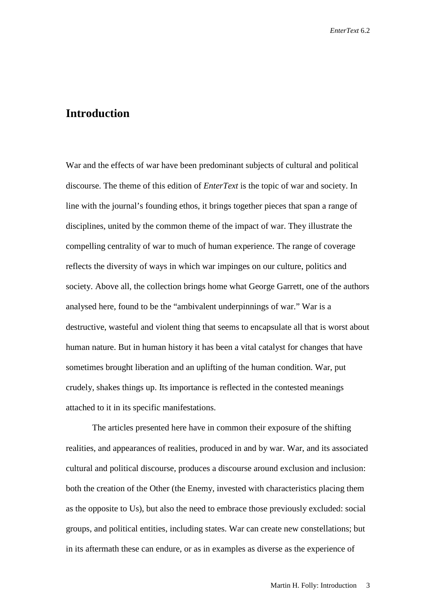## **Introduction**

War and the effects of war have been predominant subjects of cultural and political discourse. The theme of this edition of *EnterText* is the topic of war and society. In line with the journal's founding ethos, it brings together pieces that span a range of disciplines, united by the common theme of the impact of war. They illustrate the compelling centrality of war to much of human experience. The range of coverage reflects the diversity of ways in which war impinges on our culture, politics and society. Above all, the collection brings home what George Garrett, one of the authors analysed here, found to be the "ambivalent underpinnings of war." War is a destructive, wasteful and violent thing that seems to encapsulate all that is worst about human nature. But in human history it has been a vital catalyst for changes that have sometimes brought liberation and an uplifting of the human condition. War, put crudely, shakes things up. Its importance is reflected in the contested meanings attached to it in its specific manifestations.

The articles presented here have in common their exposure of the shifting realities, and appearances of realities, produced in and by war. War, and its associated cultural and political discourse, produces a discourse around exclusion and inclusion: both the creation of the Other (the Enemy, invested with characteristics placing them as the opposite to Us), but also the need to embrace those previously excluded: social groups, and political entities, including states. War can create new constellations; but in its aftermath these can endure, or as in examples as diverse as the experience of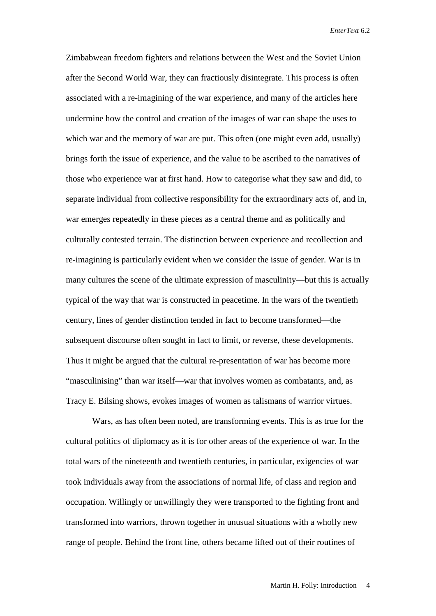Zimbabwean freedom fighters and relations between the West and the Soviet Union after the Second World War, they can fractiously disintegrate. This process is often associated with a re-imagining of the war experience, and many of the articles here undermine how the control and creation of the images of war can shape the uses to which war and the memory of war are put. This often (one might even add, usually) brings forth the issue of experience, and the value to be ascribed to the narratives of those who experience war at first hand. How to categorise what they saw and did, to separate individual from collective responsibility for the extraordinary acts of, and in, war emerges repeatedly in these pieces as a central theme and as politically and culturally contested terrain. The distinction between experience and recollection and re-imagining is particularly evident when we consider the issue of gender. War is in many cultures the scene of the ultimate expression of masculinity—but this is actually typical of the way that war is constructed in peacetime. In the wars of the twentieth century, lines of gender distinction tended in fact to become transformed—the subsequent discourse often sought in fact to limit, or reverse, these developments. Thus it might be argued that the cultural re-presentation of war has become more "masculinising" than war itself—war that involves women as combatants, and, as Tracy E. Bilsing shows, evokes images of women as talismans of warrior virtues.

Wars, as has often been noted, are transforming events. This is as true for the cultural politics of diplomacy as it is for other areas of the experience of war. In the total wars of the nineteenth and twentieth centuries, in particular, exigencies of war took individuals away from the associations of normal life, of class and region and occupation. Willingly or unwillingly they were transported to the fighting front and transformed into warriors, thrown together in unusual situations with a wholly new range of people. Behind the front line, others became lifted out of their routines of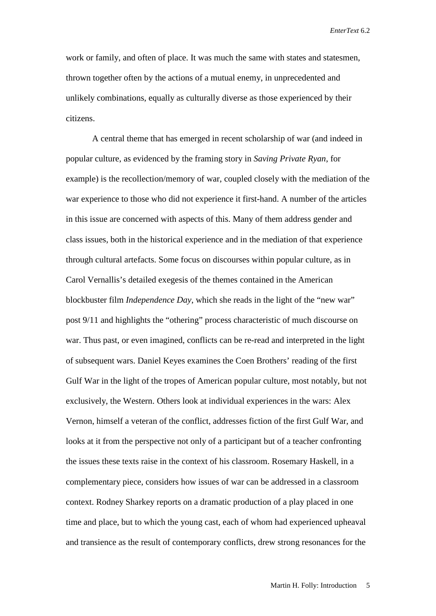work or family, and often of place. It was much the same with states and statesmen, thrown together often by the actions of a mutual enemy, in unprecedented and unlikely combinations, equally as culturally diverse as those experienced by their citizens.

A central theme that has emerged in recent scholarship of war (and indeed in popular culture, as evidenced by the framing story in *Saving Private Ryan*, for example) is the recollection/memory of war, coupled closely with the mediation of the war experience to those who did not experience it first-hand. A number of the articles in this issue are concerned with aspects of this. Many of them address gender and class issues, both in the historical experience and in the mediation of that experience through cultural artefacts. Some focus on discourses within popular culture, as in Carol Vernallis's detailed exegesis of the themes contained in the American blockbuster film *Independence Day*, which she reads in the light of the "new war" post 9/11 and highlights the "othering" process characteristic of much discourse on war. Thus past, or even imagined, conflicts can be re-read and interpreted in the light of subsequent wars. Daniel Keyes examines the Coen Brothers' reading of the first Gulf War in the light of the tropes of American popular culture, most notably, but not exclusively, the Western. Others look at individual experiences in the wars: Alex Vernon, himself a veteran of the conflict, addresses fiction of the first Gulf War, and looks at it from the perspective not only of a participant but of a teacher confronting the issues these texts raise in the context of his classroom. Rosemary Haskell, in a complementary piece, considers how issues of war can be addressed in a classroom context. Rodney Sharkey reports on a dramatic production of a play placed in one time and place, but to which the young cast, each of whom had experienced upheaval and transience as the result of contemporary conflicts, drew strong resonances for the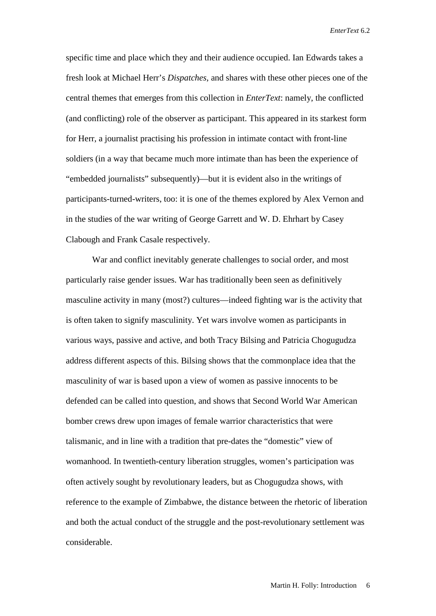specific time and place which they and their audience occupied. Ian Edwards takes a fresh look at Michael Herr's *Dispatches*, and shares with these other pieces one of the central themes that emerges from this collection in *EnterText*: namely, the conflicted (and conflicting) role of the observer as participant. This appeared in its starkest form for Herr, a journalist practising his profession in intimate contact with front-line soldiers (in a way that became much more intimate than has been the experience of "embedded journalists" subsequently)—but it is evident also in the writings of participants-turned-writers, too: it is one of the themes explored by Alex Vernon and in the studies of the war writing of George Garrett and W. D. Ehrhart by Casey Clabough and Frank Casale respectively.

War and conflict inevitably generate challenges to social order, and most particularly raise gender issues. War has traditionally been seen as definitively masculine activity in many (most?) cultures—indeed fighting war is the activity that is often taken to signify masculinity. Yet wars involve women as participants in various ways, passive and active, and both Tracy Bilsing and Patricia Chogugudza address different aspects of this. Bilsing shows that the commonplace idea that the masculinity of war is based upon a view of women as passive innocents to be defended can be called into question, and shows that Second World War American bomber crews drew upon images of female warrior characteristics that were talismanic, and in line with a tradition that pre-dates the "domestic" view of womanhood. In twentieth-century liberation struggles, women's participation was often actively sought by revolutionary leaders, but as Chogugudza shows, with reference to the example of Zimbabwe, the distance between the rhetoric of liberation and both the actual conduct of the struggle and the post-revolutionary settlement was considerable.